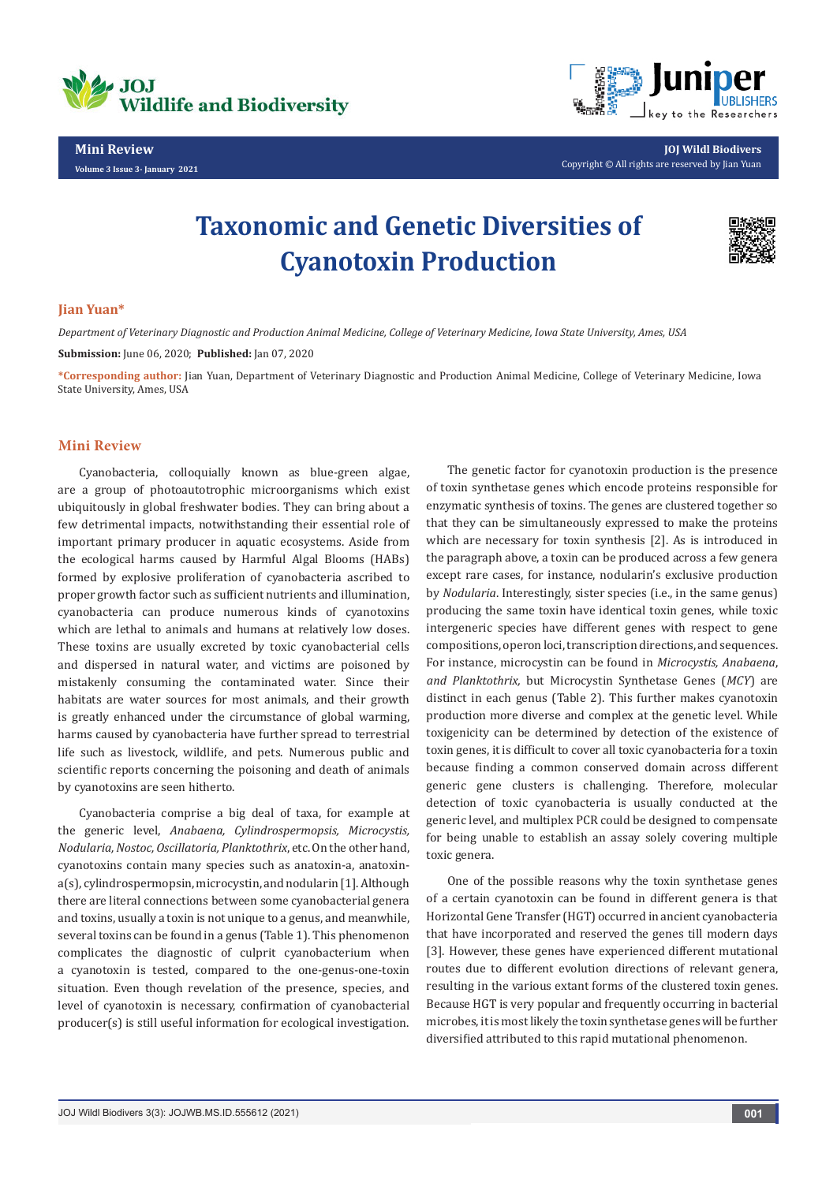

**Mini Review** 

**Volume 3 Issue 3- January 2021**



**JOJ Wildl Biodivers** Copyright © All rights are reserved by Jian Yuan

# **Taxonomic and Genetic Diversities of Cyanotoxin Production**



## **Jian Yuan\***

*Department of Veterinary Diagnostic and Production Animal Medicine, College of Veterinary Medicine, Iowa State University, Ames, USA*

**Submission:** June 06, 2020; **Published:** Jan 07, 2020

**\*Corresponding author:** Jian Yuan, Department of Veterinary Diagnostic and Production Animal Medicine, College of Veterinary Medicine, Iowa State University, Ames, USA

# **Mini Review**

Cyanobacteria, colloquially known as blue-green algae, are a group of photoautotrophic microorganisms which exist ubiquitously in global freshwater bodies. They can bring about a few detrimental impacts, notwithstanding their essential role of important primary producer in aquatic ecosystems. Aside from the ecological harms caused by Harmful Algal Blooms (HABs) formed by explosive proliferation of cyanobacteria ascribed to proper growth factor such as sufficient nutrients and illumination, cyanobacteria can produce numerous kinds of cyanotoxins which are lethal to animals and humans at relatively low doses. These toxins are usually excreted by toxic cyanobacterial cells and dispersed in natural water, and victims are poisoned by mistakenly consuming the contaminated water. Since their habitats are water sources for most animals, and their growth is greatly enhanced under the circumstance of global warming, harms caused by cyanobacteria have further spread to terrestrial life such as livestock, wildlife, and pets. Numerous public and scientific reports concerning the poisoning and death of animals by cyanotoxins are seen hitherto.

Cyanobacteria comprise a big deal of taxa, for example at the generic level, *Anabaena, Cylindrospermopsis, Microcystis, Nodularia, Nostoc, Oscillatoria, Planktothrix*, etc. On the other hand, cyanotoxins contain many species such as anatoxin-a, anatoxina(s), cylindrospermopsin, microcystin, and nodularin [1]. Although there are literal connections between some cyanobacterial genera and toxins, usually a toxin is not unique to a genus, and meanwhile, several toxins can be found in a genus (Table 1). This phenomenon complicates the diagnostic of culprit cyanobacterium when a cyanotoxin is tested, compared to the one-genus-one-toxin situation. Even though revelation of the presence, species, and level of cyanotoxin is necessary, confirmation of cyanobacterial producer(s) is still useful information for ecological investigation.

The genetic factor for cyanotoxin production is the presence of toxin synthetase genes which encode proteins responsible for enzymatic synthesis of toxins. The genes are clustered together so that they can be simultaneously expressed to make the proteins which are necessary for toxin synthesis [2]. As is introduced in the paragraph above, a toxin can be produced across a few genera except rare cases, for instance, nodularin's exclusive production by *Nodularia*. Interestingly, sister species (i.e., in the same genus) producing the same toxin have identical toxin genes, while toxic intergeneric species have different genes with respect to gene compositions, operon loci, transcription directions, and sequences. For instance, microcystin can be found in *Microcystis, Anabaena*, *and Planktothrix,* but Microcystin Synthetase Genes (*MCY*) are distinct in each genus (Table 2). This further makes cyanotoxin production more diverse and complex at the genetic level. While toxigenicity can be determined by detection of the existence of toxin genes, it is difficult to cover all toxic cyanobacteria for a toxin because finding a common conserved domain across different generic gene clusters is challenging. Therefore, molecular detection of toxic cyanobacteria is usually conducted at the generic level, and multiplex PCR could be designed to compensate for being unable to establish an assay solely covering multiple toxic genera.

One of the possible reasons why the toxin synthetase genes of a certain cyanotoxin can be found in different genera is that Horizontal Gene Transfer (HGT) occurred in ancient cyanobacteria that have incorporated and reserved the genes till modern days [3]. However, these genes have experienced different mutational routes due to different evolution directions of relevant genera, resulting in the various extant forms of the clustered toxin genes. Because HGT is very popular and frequently occurring in bacterial microbes, it is most likely the toxin synthetase genes will be further diversified attributed to this rapid mutational phenomenon.